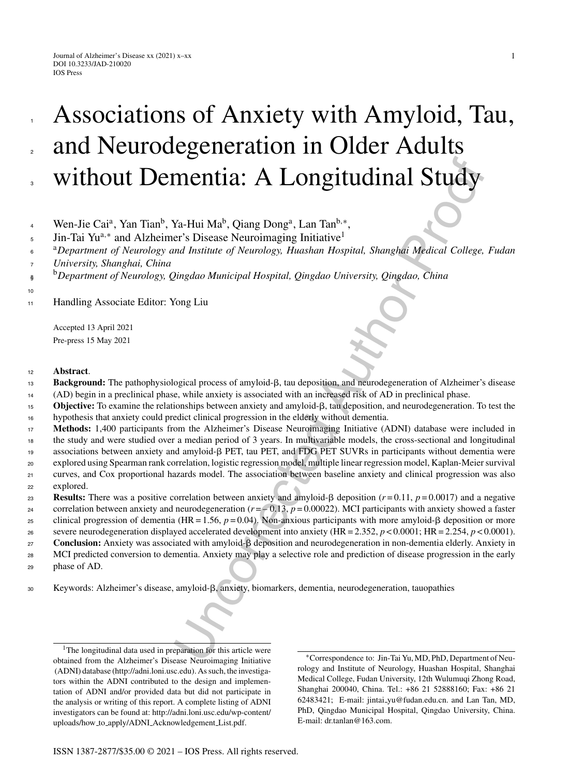1

# Associations of Anxiety with Amyloid, Tau, and Neurodegeneration in Older Adults without Dementia: A Longitudinal Study

- Wen-Jie Cai<sup>a</sup>, Yan Tian<sup>b</sup>, Ya-Hui Ma<sup>b</sup>, Qiang Dong<sup>a</sup>, Lan Tan<sup>b,\*</sup>, 4
- Jin-Tai Yu<sup>a,∗</sup> and Alzheimer's Disease Neuroimaging Initiative<sup>1</sup> 5

<sup>a</sup>*Department of Neurology and Institute of Neurology, Huashan Hospital, Shanghai Medical College, Fudan* 6

- *University, Shanghai, China* 7
- <sup>b</sup> <sup>8</sup> *Department of Neurology, Qingdao Municipal Hospital, Qingdao University, Qingdao, China* 9
- 10

1

2

3

Handling Associate Editor: Yong Liu 11

> Accepted 13 April 2021 Pre-press 15 May 2021

### <sup>12</sup> **Abstract**.

- Background: The pathophysiological process of amyloid- $\beta$ , tau deposition, and neurodegeneration of Alzheimer's disease 13
- (AD) begin in a preclinical phase, while anxiety is associated with an increased risk of AD in preclinical phase. 14
- **Objective:** To examine the relationships between anxiety and amyloid- $\beta$ , tau deposition, and neurodegeneration. To test the hypothesis that anxiety could predict clinical progression in the elderly without dementia. 15 16
- **Memberships (AUTH)**<br>
Wa-Hui Ma<sup>b</sup>, Qiang Dong<sup>a</sup>, Lan Tan<sup>b, a</sup><br>
Ya-Hui Ma<sup>b</sup>, Qiang Dong<sup>a</sup>, Lan Tan<sup>b, a</sup><br>
ya-Hui Ma<sup>b</sup>, Qingdao Nunicipal Hospital, *Qingdao University*, *Qingdao*, *China*<br>
of *Distagrame Musicipal* **Methods:** 1,400 participants from the Alzheimer's Disease Neuroimaging Initiative (ADNI) database were included in the study and were studied over a median period of 3 years. In multivariable models, the cross-sectional and longitudinal associations between anxiety and amyloid- $\beta$  PET, tau PET, and FDG PET SUVRs in participants without dementia were explored using Spearman rank correlation, logistic regression model, multiple linear regression model, Kaplan-Meier survival curves, and Cox proportional hazards model. The association between baseline anxiety and clinical progression was also explored. 17 18 19 20 21 22
- **Results:** There was a positive correlation between anxiety and amyloid- $\beta$  deposition ( $r = 0.11$ ,  $p = 0.0017$ ) and a negative 23
- correlation between anxiety and neurodegeneration  $(r = -0.13, p = 0.00022)$ . MCI participants with anxiety showed a faster 24
- clinical progression of dementia (HR = 1.56,  $p = 0.04$ ). Non-anxious participants with more amyloid- $\beta$  deposition or more 25
- severe neurodegeneration displayed accelerated development into anxiety (HR = 2.352, *p* < 0.0001; HR = 2.254, *p* < 0.0001). 26
- **Conclusion:** Anxiety was associated with amyloid- $\beta$  deposition and neurodegeneration in non-dementia elderly. Anxiety in 27
- MCI predicted conversion to dementia. Anxiety may play a selective role and prediction of disease progression in the early 28
- phase of AD. 29
- 30 Keywords: Alzheimer's disease, amyloid-β, anxiety, biomarkers, dementia, neurodegeneration, tauopathies

<sup>1</sup>The longitudinal data used in preparation for this article were obtained from the Alzheimer's Disease Neuroimaging Initiative (ADNI) database [\(http://adni.loni.usc.edu](http://adni.loni.usc.edu)). As such, the investigators within the ADNI contributed to the design and implementation of ADNI and/or provided data but did not participate in the analysis or writing of this report. A complete listing of ADNI investigators can be found at: http://adni.loni.usc.edu/wp-content/ uploads/how to apply/ADNI Acknowledgement List.pdf.

∗Correspondence to: Jin-Tai Yu, MD, PhD, Department of Neurology and Institute of Neurology, Huashan Hospital, Shanghai Medical College, Fudan University, 12th Wulumuqi Zhong Road, Shanghai 200040, China. Tel.: +86 21 52888160; Fax: +86 21 62483421; E-mail: jintai [yu@fudan.edu.cn](mailto:jintai_yu@fudan.edu.cn). and Lan Tan, MD, [PhD, Qingdao Municipal Hospital, Qingdao](http://adni.loni.usc.edu/wp-content/uploads/how_to_apply/ADNI_Acknowledgement_List.pdf) University, China. E-mail: [dr.tanlan@163.com](mailto:dr.tanlan@163.com).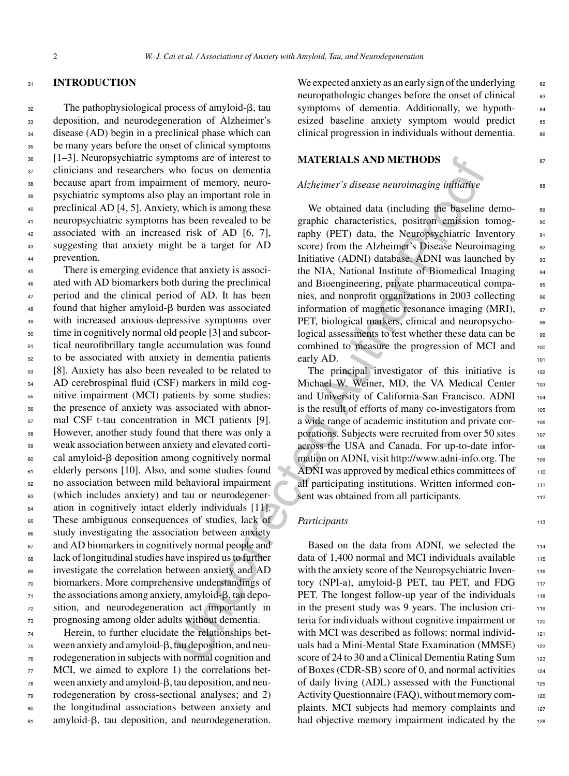#### <sup>31</sup> **INTRODUCTION**

 The pathophysiological process of amyloid- $\beta$ , tau deposition, and neurodegeneration of Alzheimer's disease (AD) begin in a preclinical phase which can be many years before the onset of clinical symptoms [1–3]. Neuropsychiatric symptoms are of interest to clinicians and researchers who focus on dementia because apart from impairment of memory, neuro- psychiatric symptoms also play an important role in preclinical AD [4, 5]. Anxiety, which is among these neuropsychiatric symptoms has been revealed to be associated with an increased risk of AD [6, 7], suggesting that anxiety might be a target for AD prevention.

ptoms are ot interest to **MATERIALS AND METHODS**<br>
And focus on dementia<br>
and of menopy, neuro-<br>
and the proof of the state of the media and the state is seen rectored at the state of the state of the state of the state of There is emerging evidence that anxiety is associ-46 ated with AD biomarkers both during the preclinical period and the clinical period of AD. It has been found that higher amyloid- $\beta$  burden was associated with increased anxious-depressive symptoms over time in cognitively normal old people [3] and subcor- tical neurofibrillary tangle accumulation was found to be associated with anxiety in dementia patients [8]. Anxiety has also been revealed to be related to AD cerebrospinal fluid (CSF) markers in mild cog- nitive impairment (MCI) patients by some studies: the presence of anxiety was associated with abnor- mal CSF t-tau concentration in MCI patients [9]. However, another study found that there was only a weak association between anxiety and elevated corti-60 cal amyloid-β deposition among cognitively normal elderly persons [10]. Also, and some studies found no association between mild behavioral impairment (which includes anxiety) and tau or neurodegener-<sup>64</sup> ation in cognitively intact elderly individuals [11]. These ambiguous consequences of studies, lack of study investigating the association between anxiety and AD biomarkers in cognitively normal people and lack of longitudinal studies have inspired us to further investigate the correlation between anxiety and AD biomarkers. More comprehensive understandings of the associations among anxiety, amyloid- $\beta$ , tau depo- sition, and neurodegeneration act importantly in prognosing among older adults without dementia.

<sup>74</sup> Herein, to further elucidate the relationships bet- $\frac{75}{10}$  ween anxiety and amyloid- $\beta$ , tau deposition, and neu-<sup>76</sup> rodegeneration in subjects with normal cognition and 77 MCI, we aimed to explore 1) the correlations bet- $\frac{78}{10}$  ween anxiety and amyloid- $\beta$ , tau deposition, and neu-<sup>79</sup> rodegeneration by cross-sectional analyses; and 2) <sup>80</sup> the longitudinal associations between anxiety and 81 amyloid-β, tau deposition, and neurodegeneration.

We expected anxiety as an early sign of the underlying  $\frac{82}{2}$ neuropathologic changes before the onset of clinical 83 symptoms of dementia. Additionally, we hypothesized baseline anxiety symptom would predict 85 clinical progression in individuals without dementia.

## **MATERIALS AND METHODS** 87

#### *Alzheimer's disease neuroimaging initiative*

We obtained data (including the baseline demographic characteristics, positron emission tomog- 90 raphy (PET) data, the Neuropsychiatric Inventory 91 score) from the Alzheimer's Disease Neuroimaging 92 Initiative (ADNI) database. ADNI was launched by 93 the NIA, National Institute of Biomedical Imaging 94 and Bioengineering, private pharmaceutical companies, and nonprofit organizations in 2003 collecting 96 information of magnetic resonance imaging (MRI), 97 PET, biological markers, clinical and neuropsycho- 98 logical assessments to test whether these data can be 99 combined to measure the progression of MCI and 100 early AD.

The principal investigator of this initiative is 102 Michael W. Weiner, MD, the VA Medical Center 103 and University of California-San Francisco. ADNI 104 is the result of efforts of many co-investigators from 105 a wide range of academic institution and private corporations. Subjects were recruited from over 50 sites 107 across the USA and Canada. For up-to-date infor- <sup>108</sup> mation on ADNI, visit<http://www.adni-info.org>. The 109 ADNI was approved by medical ethics committees of 110 all participating institutions. Written informed consent was obtained from all participants.

### *Participants* 113

Based on the data from ADNI, we selected the 114 data of  $1,400$  normal and MCI individuals available  $1,500$ with the anxiety score of the Neuropsychiatric Inventory (NPI-a), amyloid- $\beta$  PET, tau PET, and FDG 117 PET. The longest follow-up year of the individuals  $118$ in the present study was 9 years. The inclusion criteria for individuals without cognitive impairment or  $120$ with MCI was described as follows: normal individuals had a Mini-Mental State Examination (MMSE) 122 score of 24 to 30 and a Clinical Dementia Rating Sum 123 of Boxes (CDR-SB) score of 0, and normal activities <sup>124</sup> of daily living  $(ADL)$  assessed with the Functional  $125$ Activity Questionnaire (FAQ), without memory complaints. MCI subjects had memory complaints and 127 had objective memory impairment indicated by the 128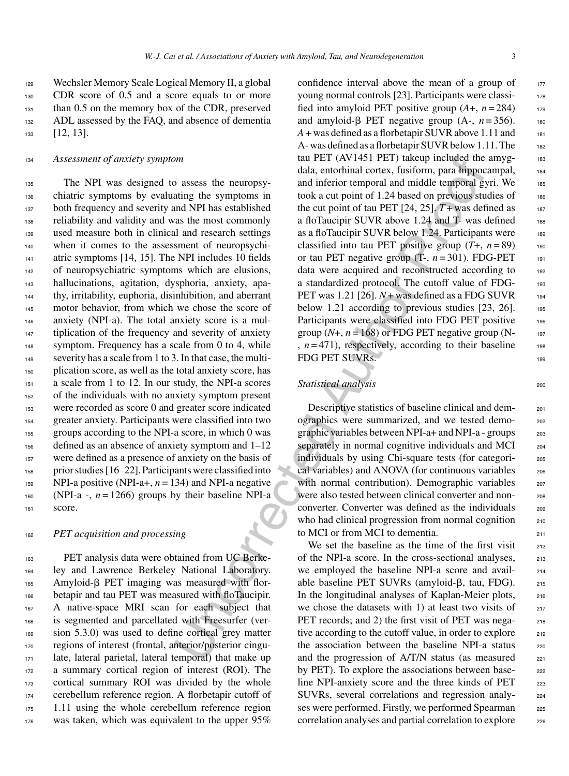<sup>129</sup> Wechsler Memory Scale Logical Memory II, a global <sup>130</sup> CDR score of 0.5 and a score equals to or more <sup>131</sup> than 0.5 on the memory box of the CDR, preserved 132 ADL assessed by the FAQ, and absence of dementia 133 [12, 13].

#### <sup>134</sup> *Assessment of anxiety symptom*

 The NPI was designed to assess the neuropsy- chiatric symptoms by evaluating the symptoms in both frequency and severity and NPI has established reliability and validity and was the most commonly used measure both in clinical and research settings when it comes to the assessment of neuropsychi-141 atric symptoms [14, 15]. The NPI includes 10 fields of neuropsychiatric symptoms which are elusions, hallucinations, agitation, dysphoria, anxiety, apa- thy, irritability, euphoria, disinhibition, and aberrant motor behavior, from which we chose the score of anxiety (NPI-a). The total anxiety score is a mul- tiplication of the frequency and severity of anxiety symptom. Frequency has a scale from 0 to 4, while severity has a scale from 1 to 3. In that case, the multi- plication score, as well as the total anxiety score, has a scale from 1 to 12. In our study, the NPI-a scores of the individuals with no anxiety symptom present were recorded as score 0 and greater score indicated greater anxiety. Participants were classified into two groups according to the NPI-a score, in which 0 was defined as an absence of anxiety symptom and 1–12 were defined as a presence of anxiety on the basis of prior studies [16–22]. Participants were classified into NPI-a positive (NPI-a+, *n* = 134) and NPI-a negative 160 (NPI-a -,  $n = 1266$ ) groups by their baseline NPI-a <sup>161</sup> score.

#### <sup>162</sup> *PET acquisition and processing*

 PET analysis data were obtained from UC Berke- ley and Lawrence Berkeley National Laboratory. Amyloid- $\beta$  PET imaging was measured with flor- betapir and tau PET was measured with floTaucipir. A native-space MRI scan for each subject that is segmented and parcellated with Freesurfer (ver-169 sion 5.3.0) was used to define cortical grey matter regions of interest (frontal, anterior/posterior cingu- late, lateral parietal, lateral temporal) that make up a summary cortical region of interest (ROI). The cortical summary ROI was divided by the whole cerebellum reference region. A florbetapir cutoff of 1.11 using the whole cerebellum reference region was taken, which was equivalent to the upper 95%

*m*<br>
(all, entothinal cortext, fusiform, para linguary<br>
(all, entothinal cortext, fusiform, para linguary<br>
and MPI has established to the symptoms in nook a cut point of tau PET [24, 25]. T+was def<br>
and NPI has establishe confidence interval above the mean of a group of  $177$ young normal controls [23]. Participants were classi- <sup>178</sup> fied into amyloid PET positive group  $(A+, n=284)$  179 and amyloid- $\beta$  PET negative group (A-,  $n = 356$ ). 180 *A* + was defined as a florbetapir SUVR above 1.11 and <sup>181</sup> A- was defined as a florbetapir SUVR below 1.11. The 182 tau PET (AV1451 PET) takeup included the amyg- $183$ dala, entorhinal cortex, fusiform, para hippocampal, <sup>184</sup> and inferior temporal and middle temporal gyri. We 185 took a cut point of 1.24 based on previous studies of  $1.86$ the cut point of tau PET  $[24, 25]$ .  $T +$ was defined as 187 a floTaucipir SUVR above 1.24 and T- was defined 188 as a floTaucipir SUVR below 1.24. Participants were  $1.89$ classified into tau PET positive group  $(T+, n=89)$  190 or tau PET negative group  $(T-, n=301)$ . FDG-PET  $_{191}$ data were acquired and reconstructed according to 192 a standardized protocol. The cutoff value of FDG- <sup>193</sup> PET was  $1.21$  [26].  $N+$  was defined as a FDG SUVR 194 below 1.21 according to previous studies  $[23, 26]$ . 195 Participants were classified into FDG PET positive 196 group  $(N+$ ,  $n = 168$ ) or FDG PET negative group  $(N-$  197  $n = 471$ , respectively, according to their baseline 198 FDG PET SUVRs.

# **Statistical analysis** 200

Descriptive statistics of baseline clinical and demographics were summarized, and we tested demo- <sup>202</sup> graphic variables between NPI-a+ and NPI-a - groups 203 separately in normal cognitive individuals and MCI 204 individuals by using Chi-square tests (for categori- <sup>205</sup> cal variables) and ANOVA (for continuous variables 206 with normal contribution). Demographic variables 207 were also tested between clinical converter and nonconverter. Converter was defined as the individuals 209 who had clinical progression from normal cognition 210 to MCI or from MCI to dementia.

We set the baseline as the time of the first visit  $_{212}$ of the NPI-a score. In the cross-sectional analyses, <sup>213</sup> we employed the baseline NPI-a score and avail-<br>214 able baseline PET SUVRs (amyloid- $\beta$ , tau, FDG). 215 In the longitudinal analyses of Kaplan-Meier plots, 216 we chose the datasets with 1) at least two visits of  $_{217}$ PET records; and 2) the first visit of PET was nega-<br>218 tive according to the cutoff value, in order to explore 219 the association between the baseline NPI-a status 220 and the progression of  $A/T/N$  status (as measured  $221$ by PET). To explore the associations between base-<br>222 line NPI-anxiety score and the three kinds of PET 223 SUVRs, several correlations and regression analy- <sup>224</sup> ses were performed. Firstly, we performed Spearman 225 correlation analyses and partial correlation to explore 226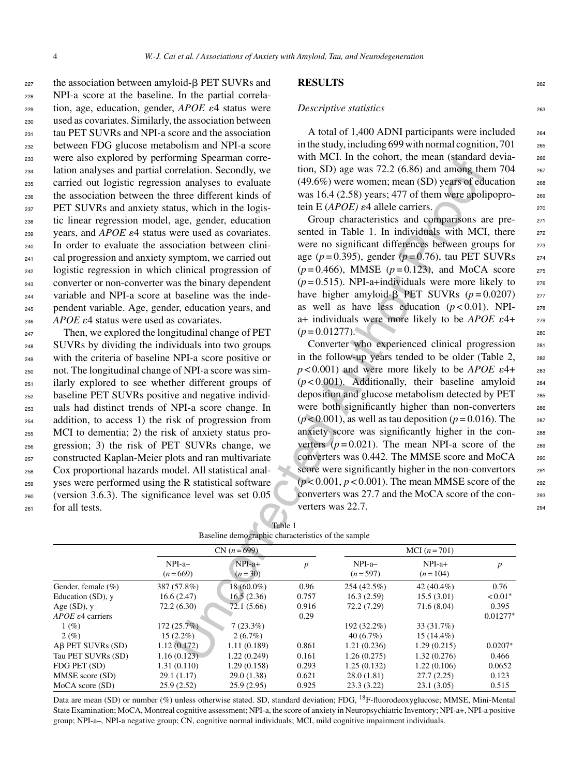the association between amyloid- $\beta$  PET SUVRs and NPI-a score at the baseline. In the partial correla- tion, age, education, gender,  $APOE \epsilon 4$  status were used as covariates. Similarly, the association between tau PET SUVRs and NPI-a score and the association between FDG glucose metabolism and NPI-a score were also explored by performing Spearman corre- lation analyses and partial correlation. Secondly, we carried out logistic regression analyses to evaluate the association between the three different kinds of PET SUVRs and anxiety status, which in the logis- tic linear regression model, age, gender, education  $_{239}$  vears, and *APOE*  $\varepsilon$ 4 status were used as covariates. In order to evaluate the association between clini- cal progression and anxiety symptom, we carried out logistic regression in which clinical progression of converter or non-converter was the binary dependent variable and NPI-a score at baseline was the inde- pendent variable. Age, gender, education years, and  $APOE \epsilon 4$  status were used as covariates.

 Then, we explored the longitudinal change of PET SUVRs by dividing the individuals into two groups with the criteria of baseline NPI-a score positive or not. The longitudinal change of NPI-a score was sim- ilarly explored to see whether different groups of baseline PET SUVRs positive and negative individ- uals had distinct trends of NPI-a score change. In addition, to access 1) the risk of progression from MCI to dementia; 2) the risk of anxiety status pro- gression; 3) the risk of PET SUVRs change, we constructed Kaplan-Meier plots and ran multivariate Cox proportional hazards model. All statistical anal- yses were performed using the R statistical software (version 3.6.3). The significance level was set 0.05 for all tests.

## **RESULTS** <sup>262</sup>

#### *Descriptive statistics* 263

A total of 1,400 ADNI participants were included 264 in the study, including 699 with normal cognition,  $701$   $265$ with MCI. In the cohort, the mean (standard devia-<br>266 tion, SD) age was  $72.2$  (6.86) and among them  $704$  267  $(49.6\%)$  were women; mean (SD) years of education  $268$ was  $16.4$  (2.58) years; 477 of them were apolipopro-<br><sub>269</sub> tein E (*APOE*)  $\varepsilon$ 4 allele carriers.

Group characteristics and comparisons are presented in Table 1. In individuals with MCI, there  $272$ were no significant differences between groups for 273 age (*p* = 0.395), gender (*p* = 0.76), tau PET SUVRs <sup>274</sup>  $(p=0.466)$ , MMSE  $(p=0.123)$ , and MoCA score 275  $(p=0.515)$ . NPI-a+individuals were more likely to  $276$ have higher amyloid-β PET SUVRs  $(p=0.0207)$  277 as well as have less education  $(p < 0.01)$ . NPI- 278 a+ individuals were more likely to be  $APOE$   $\varepsilon$ 4+ 279  $(p=0.01277)$ .

Converter who experienced clinical progression <sup>281</sup> in the follow-up years tended to be older (Table 2, 282  $p$  < 0.001) and were more likely to be *APOE*  $\varepsilon$ 4+ 283  $(p<0.001)$ . Additionally, their baseline amyloid  $_{284}$ deposition and glucose metabolism detected by PET 285 were both significantly higher than non-converters 286  $(p<0.001)$ , as well as tau deposition  $(p=0.016)$ . The 287 anxiety score was significantly higher in the converters  $(p=0.021)$ . The mean NPI-a score of the 289 converters was 0.442. The MMSE score and MoCA 290 score were significantly higher in the non-convertors 291  $(p<0.001, p<0.001)$ . The mean MMSE score of the 292 converters was 27.7 and the MoCA score of the con- <sup>293</sup> verters was 22.7.

| were also explored by performing Spearman corre-                                                                                                                      |                            |                                                    |                  | with MCT. In the conort, the mean (standard devia-                                                                                                                                                                                                                                                                                                                                                                                                                                                                                                                          |                             |                  |  |  |
|-----------------------------------------------------------------------------------------------------------------------------------------------------------------------|----------------------------|----------------------------------------------------|------------------|-----------------------------------------------------------------------------------------------------------------------------------------------------------------------------------------------------------------------------------------------------------------------------------------------------------------------------------------------------------------------------------------------------------------------------------------------------------------------------------------------------------------------------------------------------------------------------|-----------------------------|------------------|--|--|
| lation analyses and partial correlation. Secondly, we<br>carried out logistic regression analyses to evaluate<br>the association between the three different kinds of |                            |                                                    |                  | tion, SD) age was $72.2$ (6.86) and among them $704$<br>(49.6%) were women; mean (SD) years of education                                                                                                                                                                                                                                                                                                                                                                                                                                                                    |                             |                  |  |  |
|                                                                                                                                                                       |                            |                                                    |                  |                                                                                                                                                                                                                                                                                                                                                                                                                                                                                                                                                                             |                             |                  |  |  |
|                                                                                                                                                                       |                            |                                                    |                  | was 16.4 (2.58) years; 477 of them were apolipopro-<br>tein E ( $APOE$ ) $\varepsilon$ 4 allele carriers.                                                                                                                                                                                                                                                                                                                                                                                                                                                                   |                             |                  |  |  |
| PET SUVRs and anxiety status, which in the logis-                                                                                                                     |                            |                                                    |                  |                                                                                                                                                                                                                                                                                                                                                                                                                                                                                                                                                                             |                             |                  |  |  |
| tic linear regression model, age, gender, education                                                                                                                   |                            |                                                    |                  | Group characteristics and comparisons are pre-                                                                                                                                                                                                                                                                                                                                                                                                                                                                                                                              |                             |                  |  |  |
| years, and $APOE$ $\varepsilon$ 4 status were used as covariates.                                                                                                     |                            |                                                    |                  | sented in Table 1. In individuals with MCI, there                                                                                                                                                                                                                                                                                                                                                                                                                                                                                                                           |                             |                  |  |  |
| In order to evaluate the association between clini-                                                                                                                   |                            |                                                    |                  | were no significant differences between groups for                                                                                                                                                                                                                                                                                                                                                                                                                                                                                                                          |                             |                  |  |  |
| cal progression and anxiety symptom, we carried out                                                                                                                   |                            |                                                    |                  | age ( $p = 0.395$ ), gender ( $p = 0.76$ ), tau PET SUVRs                                                                                                                                                                                                                                                                                                                                                                                                                                                                                                                   |                             |                  |  |  |
| logistic regression in which clinical progression of                                                                                                                  |                            |                                                    |                  | $(p=0.466)$ , MMSE $(p=0.123)$ , and MoCA score                                                                                                                                                                                                                                                                                                                                                                                                                                                                                                                             |                             |                  |  |  |
|                                                                                                                                                                       |                            |                                                    |                  | $(p=0.515)$ . NPI-a+individuals were more likely to                                                                                                                                                                                                                                                                                                                                                                                                                                                                                                                         |                             |                  |  |  |
| converter or non-converter was the binary dependent                                                                                                                   |                            |                                                    |                  |                                                                                                                                                                                                                                                                                                                                                                                                                                                                                                                                                                             |                             |                  |  |  |
| variable and NPI-a score at baseline was the inde-                                                                                                                    |                            |                                                    |                  | have higher amyloid- $\beta$ PET SUVRs ( $p = 0.0207$ )                                                                                                                                                                                                                                                                                                                                                                                                                                                                                                                     |                             |                  |  |  |
| pendent variable. Age, gender, education years, and                                                                                                                   |                            |                                                    |                  | as well as have less education $(p<0.01)$ . NPI-                                                                                                                                                                                                                                                                                                                                                                                                                                                                                                                            |                             |                  |  |  |
| APOE $\varepsilon$ 4 status were used as covariates.                                                                                                                  |                            |                                                    |                  | a+ individuals were more likely to be $APOE \epsilon$ 4+                                                                                                                                                                                                                                                                                                                                                                                                                                                                                                                    |                             |                  |  |  |
| Then, we explored the longitudinal change of PET                                                                                                                      |                            |                                                    | $(p=0.01277)$ .  |                                                                                                                                                                                                                                                                                                                                                                                                                                                                                                                                                                             |                             |                  |  |  |
| SUVRs by dividing the individuals into two groups                                                                                                                     |                            |                                                    |                  | Converter who experienced clinical progression<br>in the follow-up years tended to be older (Table 2,<br>$p < 0.001$ ) and were more likely to be <i>APOE</i> $\varepsilon$ 4+<br>$(p<0.001)$ . Additionally, their baseline amyloid<br>deposition and glucose metabolism detected by PET<br>were both significantly higher than non-converters<br>$(p<0.001)$ , as well as tau deposition $(p=0.016)$ . The<br>anxiety score was significantly higher in the con-<br>verters ( $p = 0.021$ ). The mean NPI-a score of the<br>converters was 0.442. The MMSE score and MoCA |                             |                  |  |  |
| with the criteria of baseline NPI-a score positive or                                                                                                                 |                            |                                                    |                  |                                                                                                                                                                                                                                                                                                                                                                                                                                                                                                                                                                             |                             |                  |  |  |
| not. The longitudinal change of NPI-a score was sim-                                                                                                                  |                            |                                                    |                  |                                                                                                                                                                                                                                                                                                                                                                                                                                                                                                                                                                             |                             |                  |  |  |
| ilarly explored to see whether different groups of                                                                                                                    |                            |                                                    |                  |                                                                                                                                                                                                                                                                                                                                                                                                                                                                                                                                                                             |                             |                  |  |  |
| baseline PET SUVRs positive and negative individ-                                                                                                                     |                            |                                                    |                  |                                                                                                                                                                                                                                                                                                                                                                                                                                                                                                                                                                             |                             |                  |  |  |
|                                                                                                                                                                       |                            |                                                    |                  |                                                                                                                                                                                                                                                                                                                                                                                                                                                                                                                                                                             |                             |                  |  |  |
| uals had distinct trends of NPI-a score change. In                                                                                                                    |                            |                                                    |                  |                                                                                                                                                                                                                                                                                                                                                                                                                                                                                                                                                                             |                             |                  |  |  |
| addition, to access 1) the risk of progression from                                                                                                                   |                            |                                                    |                  |                                                                                                                                                                                                                                                                                                                                                                                                                                                                                                                                                                             |                             |                  |  |  |
| MCI to dementia; 2) the risk of anxiety status pro-                                                                                                                   |                            |                                                    |                  |                                                                                                                                                                                                                                                                                                                                                                                                                                                                                                                                                                             |                             |                  |  |  |
| gression; 3) the risk of PET SUVRs change, we                                                                                                                         |                            |                                                    |                  |                                                                                                                                                                                                                                                                                                                                                                                                                                                                                                                                                                             |                             |                  |  |  |
| constructed Kaplan-Meier plots and ran multivariate                                                                                                                   |                            |                                                    |                  |                                                                                                                                                                                                                                                                                                                                                                                                                                                                                                                                                                             |                             |                  |  |  |
| Cox proportional hazards model. All statistical anal-                                                                                                                 |                            |                                                    |                  | score were significantly higher in the non-convertors                                                                                                                                                                                                                                                                                                                                                                                                                                                                                                                       |                             |                  |  |  |
| yses were performed using the R statistical software                                                                                                                  |                            |                                                    |                  | $(p<0.001, p<0.001)$ . The mean MMSE score of the                                                                                                                                                                                                                                                                                                                                                                                                                                                                                                                           |                             |                  |  |  |
| (version $3.6.3$ ). The significance level was set $0.05$                                                                                                             |                            |                                                    |                  | converters was 27.7 and the MoCA score of the con-                                                                                                                                                                                                                                                                                                                                                                                                                                                                                                                          |                             |                  |  |  |
| for all tests.                                                                                                                                                        |                            |                                                    |                  | verters was 22.7.                                                                                                                                                                                                                                                                                                                                                                                                                                                                                                                                                           |                             |                  |  |  |
|                                                                                                                                                                       |                            |                                                    |                  |                                                                                                                                                                                                                                                                                                                                                                                                                                                                                                                                                                             |                             |                  |  |  |
|                                                                                                                                                                       |                            |                                                    | Table 1          |                                                                                                                                                                                                                                                                                                                                                                                                                                                                                                                                                                             |                             |                  |  |  |
|                                                                                                                                                                       |                            | Baseline demographic characteristics of the sample |                  |                                                                                                                                                                                                                                                                                                                                                                                                                                                                                                                                                                             |                             |                  |  |  |
|                                                                                                                                                                       |                            | $CN (n = 699)$                                     |                  |                                                                                                                                                                                                                                                                                                                                                                                                                                                                                                                                                                             | $MCI(n = 701)$              |                  |  |  |
|                                                                                                                                                                       | NPI-a-                     | $NPI-a+$                                           | $\boldsymbol{p}$ | NPI-a-                                                                                                                                                                                                                                                                                                                                                                                                                                                                                                                                                                      | NPI-a+                      | $\boldsymbol{p}$ |  |  |
|                                                                                                                                                                       | $(n=669)$                  | $(n=30)$                                           |                  | $(n=597)$                                                                                                                                                                                                                                                                                                                                                                                                                                                                                                                                                                   | $(n=104)$                   |                  |  |  |
| Gender, female (%)                                                                                                                                                    | 387 (57.8%)                | 18 (60.0%)                                         | 0.96             | 254 (42.5%)                                                                                                                                                                                                                                                                                                                                                                                                                                                                                                                                                                 | 42 (40.4%)                  | 0.76             |  |  |
| Education (SD), y                                                                                                                                                     | 16.6(2.47)                 | 16.5(2.36)                                         | 0.757            | 16.3(2.59)                                                                                                                                                                                                                                                                                                                                                                                                                                                                                                                                                                  | 15.5(3.01)                  | $< 0.01*$        |  |  |
| Age $(SD)$ , y                                                                                                                                                        | 72.2 (6.30)                | 72.1 (5.66)                                        | 0.916            | 72.2 (7.29)                                                                                                                                                                                                                                                                                                                                                                                                                                                                                                                                                                 | 71.6 (8.04)                 | 0.395            |  |  |
| APOE $\varepsilon$ 4 carriers                                                                                                                                         |                            |                                                    | 0.29             |                                                                                                                                                                                                                                                                                                                                                                                                                                                                                                                                                                             |                             | $0.01277*$       |  |  |
| 1(%)                                                                                                                                                                  | 172(25.7%)                 | 7(23.3%)                                           |                  | 192 (32.2%)                                                                                                                                                                                                                                                                                                                                                                                                                                                                                                                                                                 | 33 (31.7%)                  |                  |  |  |
| 2(%)<br>Aβ PET SUVRs (SD)                                                                                                                                             | $15(2.2\%)$<br>1.12(0.172) | 2(6.7%)<br>1.11(0.189)                             | 0.861            | 40(6.7%)<br>1.21(0.236)                                                                                                                                                                                                                                                                                                                                                                                                                                                                                                                                                     | $15(14.4\%)$<br>1.29(0.215) | $0.0207*$        |  |  |
| Tau PET SUVRs (SD)                                                                                                                                                    | 1.16(0.123)                | 1.22(0.249)                                        | 0.161            | 1.26(0.275)                                                                                                                                                                                                                                                                                                                                                                                                                                                                                                                                                                 | 1.32(0.276)                 | 0.466            |  |  |
| FDG PET (SD)                                                                                                                                                          | 1.31(0.110)                | 1.29(0.158)                                        | 0.293            | 1.25(0.132)                                                                                                                                                                                                                                                                                                                                                                                                                                                                                                                                                                 | 1.22(0.106)                 | 0.0652           |  |  |
| MMSE score (SD)                                                                                                                                                       | 29.1 (1.17)                | 29.0(1.38)                                         | 0.621            | 28.0(1.81)                                                                                                                                                                                                                                                                                                                                                                                                                                                                                                                                                                  | 27.7(2.25)                  | 0.123            |  |  |
| MoCA score (SD)                                                                                                                                                       | 25.9(2.52)                 | 25.9(2.95)                                         | 0.925            | 23.3(3.22)                                                                                                                                                                                                                                                                                                                                                                                                                                                                                                                                                                  | 23.1(3.05)                  | 0.515            |  |  |

| Table 1                                            |
|----------------------------------------------------|
| Baseline demographic characteristics of the sample |

Data are mean (SD) or number (%) unless otherwise stated. SD, standard deviation; FDG, <sup>18</sup>F-fluorodeoxyglucose; MMSE, Mini-Mental State Examination; MoCA, Montreal cognitive assessment; NPI-a, the score of anxiety in Neuropsychiatric Inventory; NPI-a+, NPI-a positive group; NPI-a–, NPI-a negative group; CN, cognitive normal individuals; MCI, mild cognitive impairment individuals.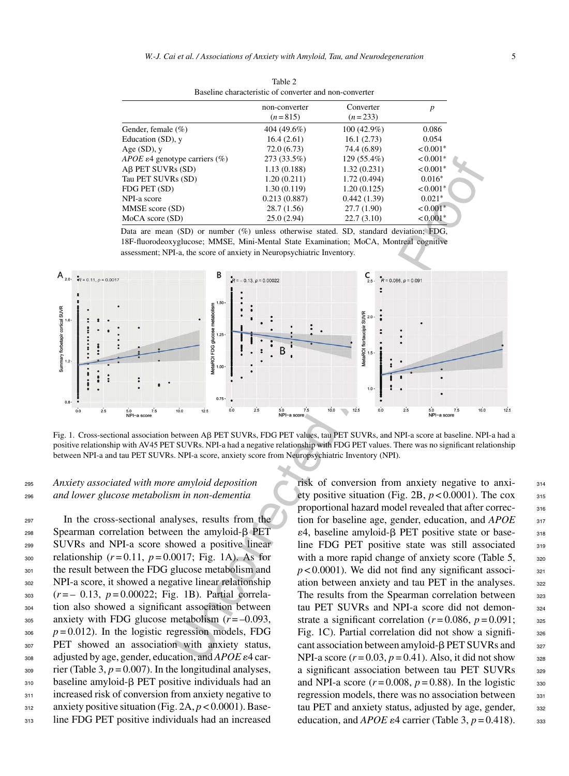|                                                   | non-converter<br>$(n=815)$ | Converter<br>$(n=233)$ | p                      |
|---------------------------------------------------|----------------------------|------------------------|------------------------|
| Gender, female $(\% )$                            | 404 (49.6%)                | $100(42.9\%)$          | 0.086                  |
| Education (SD), y                                 | 16.4(2.61)                 | 16.1(2.73)             | 0.054                  |
| Age $(SD)$ , y                                    | 72.0(6.73)                 | 74.4 (6.89)            | $< 0.001*$             |
| <i>APOE</i> $\varepsilon$ 4 genotype carriers (%) | 273 (33.5%)                | 129 (55.4%)            | $< 0.001*$             |
| Aβ PET SUVRs (SD)                                 | 1.13(0.188)                | 1.32(0.231)            | $< 0.001$ <sup>*</sup> |
| Tau PET SUVRs (SD)                                | 1.20(0.211)                | 1.72(0.494)            | $0.016*$               |
| FDG PET (SD)                                      | 1.30(0.119)                | 1.20(0.125)            | $< 0.001*$             |
| NPI-a score                                       | 0.213(0.887)               | 0.442(1.39)            | $0.021*$               |
| MMSE score (SD)                                   | 28.7(1.56)                 | 27.7(1.90)             | $< 0.001*$             |
| MoCA score (SD)                                   | 25.0(2.94)                 | 22.7(3.10)             | $< 0.001$ <sup>*</sup> |

Table 2 Baseline characteristic of converter and non-converter

Data are mean (SD) or number (%) unless otherwise stated. SD, standard deviation; FDG, 18F-fluorodeoxyglucose; MMSE, Mini-Mental State Examination; MoCA, Montreal cognitive assessment; NPI-a, the score of anxiety in Neuropsychiatric Inventory.



Fig. 1. Cross-sectional association between Aβ PET SUVRs, FDG PET values, tau PET SUVRs, and NPI-a score at baseline. NPI-a had a positive relationship with AV45 PET SUVRs. NPI-a had a negative relationship with FDG PET values. There was no significant relationship between NPI-a and tau PET SUVRs. NPI-a score, anxiety score from Neuropsychiatric Inventory (NPI).

<sup>295</sup> *Anxiety associated with more amyloid deposition* <sup>296</sup> *and lower glucose metabolism in non-dementia*

 In the cross-sectional analyses, results from the Spearman correlation between the amyloid- $\beta$  PET SUVRs and NPI-a score showed a positive linear relationship (*r* = 0.11, *p* = 0.0017; Fig. 1A). As for 301 the result between the FDG glucose metabolism and NPI-a score, it showed a negative linear relationship (*r* = – 0.13, *p* = 0.00022; Fig. 1B). Partial correla- tion also showed a significant association between anxiety with FDG glucose metabolism (*r* = –0.093,  $p = 0.012$ ). In the logistic regression models, FDG PET showed an association with anxiety status, 308 adjusted by age, gender, education, and *APOE*  $\varepsilon$ 4 car- $\frac{309}{200}$  rier (Table 3,  $p = 0.007$ ). In the longitudinal analyses, baseline amyloid- $\beta$  PET positive individuals had an 311 increased risk of conversion from anxiety negative to anxiety positive situation (Fig. 2A, *p* < 0.0001). Base-line FDG PET positive individuals had an increased

risk of conversion from anxiety negative to anxi- <sup>314</sup> ety positive situation (Fig. 2B,  $p < 0.0001$ ). The cox  $315$ proportional hazard model revealed that after correc-<br>316 tion for baseline age, gender, education, and *APOE* 317  $\varepsilon$ 4, baseline amyloid- $\beta$  PET positive state or base-<br>318 line FDG PET positive state was still associated 319 with a more rapid change of anxiety score (Table 5,  $\frac{320}{2}$  $p < 0.0001$ ). We did not find any significant association between anxiety and tau PET in the analyses. 322 The results from the Spearman correlation between 323 tau PET SUVRs and NPI-a score did not demon-<br>324 strate a significant correlation  $(r=0.086, p=0.091;$  325 Fig. 1C). Partial correlation did not show a signifi-<br>326 cant association between amyloid- $\beta$  PET SUVRs and  $\qquad$  327 NPI-a score  $(r=0.03, p=0.41)$ . Also, it did not show  $328$ a significant association between tau PET SUVRs 329 and NPI-a score  $(r=0.008, p=0.88)$ . In the logistic  $\qquad$  330 regression models, there was no association between  $331$ tau PET and anxiety status, adjusted by age, gender, 332 education, and *APOE*  $\varepsilon$ 4 carrier (Table 3,  $p = 0.418$ ). 333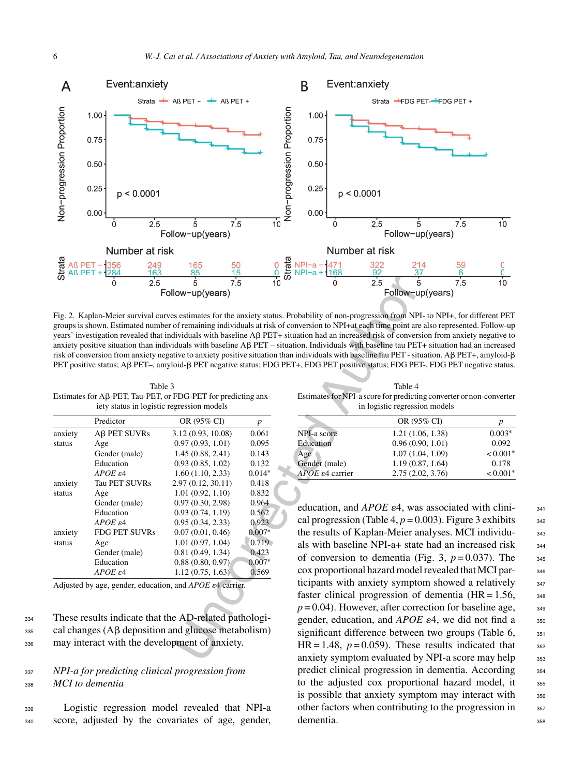

Fig. 2. Kaplan-Meier survival curves estimates for the anxiety status. Probability of non-progression from NPI- to NPI+, for different PET groups is shown. Estimated number of remaining individuals at risk of conversion to NPI+at each time point are also represented. Follow-up years' investigation revealed that individuals with baseline AB PET+ situation had an increased risk of conversion from anxiety negative to anxiety positive situation than individuals with baseline AB PET – situation. Individuals with baseline tau PET+ situation had an increased risk of conversion from anxiety negative to anxiety positive situation than individuals with baseline tau PET - situation. A $\beta$  PET+, amyloid- $\beta$ PET positive status; Aß PET–, amyloid-ß PET negative status; FDG PET+, FDG PET positive status; FDG PET-, FDG PET negative status.

Table 3 Estimates for Aß-PET, Tau-PET, or FDG-PET for predicting anxiety status in logistic regression models

Table 4 Estimates for NPI-a score for predicting converter or non-converter in logistic regression models

|         | Predictor                | OR (95% CI)       | D        |
|---------|--------------------------|-------------------|----------|
| anxiety | A <sub>B</sub> PET SUVRs | 3.12(0.93, 10.08) | 0.061    |
| status  | Age                      | 0.97(0.93, 1.01)  | 0.095    |
|         | Gender (male)            | 1.45(0.88, 2.41)  | 0.143    |
|         | Education                | 0.93(0.85, 1.02)  | 0.132    |
|         | $APOE \epsilon 4$        | 1.60(1.10, 2.33)  | $0.014*$ |
| anxiety | <b>Tau PET SUVRs</b>     | 2.97(0.12, 30.11) | 0.418    |
| status  | Age                      | 1.01(0.92, 1.10)  | 0.832    |
|         | Gender (male)            | 0.97(0.30, 2.98)  | 0.964    |
|         | Education                | 0.93(0.74, 1.19)  | 0.562    |
|         | $APOE \epsilon 4$        | 0.95(0.34, 2.33)  | 0.923    |
| anxiety | <b>FDG PET SUVRs</b>     | 0.07(0.01, 0.46)  | $0.007*$ |
| status  | Age                      | 1.01(0.97, 1.04)  | 0.719    |
|         | Gender (male)            | 0.81(0.49, 1.34)  | 0.423    |
|         | Education                | 0.88(0.80, 0.97)  | $0.007*$ |
|         | $APOE \epsilon 4$        | 1.12(0.75, 1.63)  | 0.569    |

Adjusted by age, gender, education, and *APOE*  $\varepsilon$ 4 carrier.

<sup>334</sup> These results indicate that the AD-related pathologi- $_{335}$  cal changes (A $\beta$  deposition and glucose metabolism) <sup>336</sup> may interact with the development of anxiety.

# <sup>337</sup> *NPI-a for predicting clinical progression from* <sup>338</sup> *MCI to dementia*

<sup>339</sup> Logistic regression model revealed that NPI-a <sup>340</sup> score, adjusted by the covariates of age, gender,

|                                | OR (95% CI)      | p          |
|--------------------------------|------------------|------------|
| NPI-a score                    | 1.21(1.06, 1.38) | $0.003*$   |
| Education                      | 0.96(0.90, 1.01) | 0.092      |
| Age                            | 1.07(1.04, 1.09) | $< 0.001*$ |
| Gender (male)                  | 1.19(0.87, 1.64) | 0.178      |
| $APOE$ $\varepsilon$ 4 carrier | 2.75(2.02, 3.76) | $< 0.001*$ |
|                                |                  |            |

education, and  $APOE \varepsilon 4$ , was associated with clini-<br> $341$ cal progression (Table 4,  $p = 0.003$ ). Figure 3 exhibits  $_{342}$ the results of Kaplan-Meier analyses. MCI individu-<br><sub>343</sub> als with baseline NPI-a+ state had an increased risk  $344$ of conversion to dementia (Fig. 3,  $p = 0.037$ ). The  $_{345}$ cox proportional hazard model revealed that MCI par- <sup>346</sup> ticipants with anxiety symptom showed a relatively  $347$ faster clinical progression of dementia  $(HR = 1.56, \ldots)$  $p = 0.04$ ). However, after correction for baseline age,  $\frac{348}{2}$ gender, education, and *APOE*  $\varepsilon$ 4, we did not find a  $\frac{350}{250}$ significant difference between two groups (Table 6, 351 HR = 1.48,  $p = 0.059$ ). These results indicated that  $352$ anxiety symptom evaluated by NPI-a score may help 353 predict clinical progression in dementia. According 354 to the adjusted cox proportional hazard model, it  $\frac{355}{355}$ is possible that anxiety symptom may interact with 356 other factors when contributing to the progression in  $357$ dementia. 358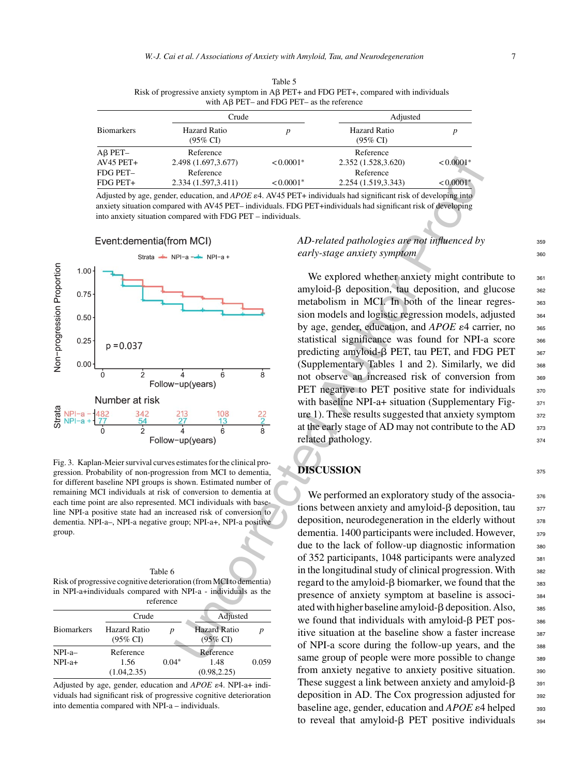| with $\overrightarrow{AB}$ PET- and FDG PET- as the reference |                                            |             |                                 |                         |  |
|---------------------------------------------------------------|--------------------------------------------|-------------|---------------------------------|-------------------------|--|
| <b>Biomarkers</b>                                             | Crude                                      |             | Adjusted                        |                         |  |
|                                                               | <b>Hazard Ratio</b><br>$(95\% \text{ CI})$ |             | <b>Hazard Ratio</b><br>(95% CI) |                         |  |
| $AB$ PET-                                                     | Reference                                  |             | Reference                       |                         |  |
| AV45 PET+                                                     | 2.498 (1.697, 3.677)                       | $< 0.0001*$ | 2.352 (1.528,3.620)             | $< 0.0001*$             |  |
| FDG PET-                                                      | Reference                                  |             | Reference                       |                         |  |
| FDG PET+                                                      | 2.334 (1.597, 3.411)                       | $< 0.0001*$ | 2.254 (1.519, 3.343)            | $< 0.0001$ <sup>*</sup> |  |

Table 5 Risk of progressive anxiety symptom in A $\beta$  PET+ and FDG PET+, compared with individuals

Adjusted by age, gender, education, and *APOE*  $\epsilon$ 4. AV45 PET+ individuals had significant risk of developing into anxiety situation compared with AV45 PET– individuals. FDG PET+individuals had significant risk of developing into anxiety situation compared with FDG PET – individuals.



Fig. 3. Kaplan-Meier survival curves estimates for the clinical progression. Probability of non-progression from MCI to dementia, for different baseline NPI groups is shown. Estimated number of remaining MCI individuals at risk of conversion to dementia at each time point are also represented. MCI individuals with baseline NPI-a positive state had an increased risk of conversion to dementia. NPI-a–, NPI-a negative group; NPI-a+, NPI-a positive group.

| Table 6                                                            |  |
|--------------------------------------------------------------------|--|
| Risk of progressive cognitive deterioration (from MCI to dementia) |  |
| in NPI-a+individuals compared with NPI-a - individuals as the      |  |
| reference                                                          |  |

|                   |                                     | 1010101100 |                                            |       |
|-------------------|-------------------------------------|------------|--------------------------------------------|-------|
|                   | Crude                               |            | Adjusted                                   |       |
| <b>Biomarkers</b> | Hazard Ratio<br>$(95\% \text{ CI})$ | n          | <b>Hazard Ratio</b><br>$(95\% \text{ CI})$ | p     |
| $NPI-a-$          | Reference                           |            | Reference                                  |       |
| $NPI-a+$          | 1.56<br>(1.04, 2.35)                | $0.04*$    | 1.48<br>(0.98, 2.25)                       | 0.059 |

Adjusted by age, gender, education and *APOE*  $\varepsilon$ 4. NPI-a+ individuals had significant risk of progressive cognitive deterioration into dementia compared with NPI-a – individuals.

# *AD-related pathologies are not influenced by* 359 *early-stage anxiety symptom*

We explored whether anxiety might contribute to  $361$ amyloid- $\beta$  deposition, tau deposition, and glucose  $\frac{362}{20}$ metabolism in MCI. In both of the linear regres-<br>363 sion models and logistic regression models, adjusted  $364$ by age, gender, education, and  $APOE \varepsilon 4$  carrier, no  $365$ statistical significance was found for NPI-a score 366 predicting amyloid- $\beta$  PET, tau PET, and FDG PET  $\qquad$  367 (Supplementary Tables 1 and 2). Similarly, we did  $368$ not observe an increased risk of conversion from 369 PET negative to PET positive state for individuals  $370$ with baseline NPI-a+ situation (Supplementary Fig- $371$ ure 1). These results suggested that anxiety symptom  $372$ at the early stage of AD may not contribute to the AD  $\frac{373}{375}$ related pathology. 374

# **DISCUSSION** 375

Uncorrected Author Proof We performed an exploratory study of the associa-<br>376 tions between anxiety and amyloid- $\beta$  deposition, tau  $\frac{377}{27}$ deposition, neurodegeneration in the elderly without 378 dementia. 1400 participants were included. However,  $379$ due to the lack of follow-up diagnostic information 380 of 352 participants, 1048 participants were analyzed 381 in the longitudinal study of clinical progression. With 382 regard to the amyloid- $\beta$  biomarker, we found that the  $\qquad$  383 presence of anxiety symptom at baseline is associ- <sup>384</sup> ated with higher baseline amyloid- $\beta$  deposition. Also,  $\qquad$  385 we found that individuals with amyloid- $\beta$  PET pos-<br>see itive situation at the baseline show a faster increase 387 of NPI-a score during the follow-up years, and the 388 same group of people were more possible to change 389 from anxiety negative to anxiety positive situation. 390 These suggest a link between anxiety and amyloid- $\beta$ deposition in AD. The Cox progression adjusted for  $\frac{392}{2}$ baseline age, gender, education and *APOE* ε4 helped 393 to reveal that amyloid- $\beta$  PET positive individuals 394

391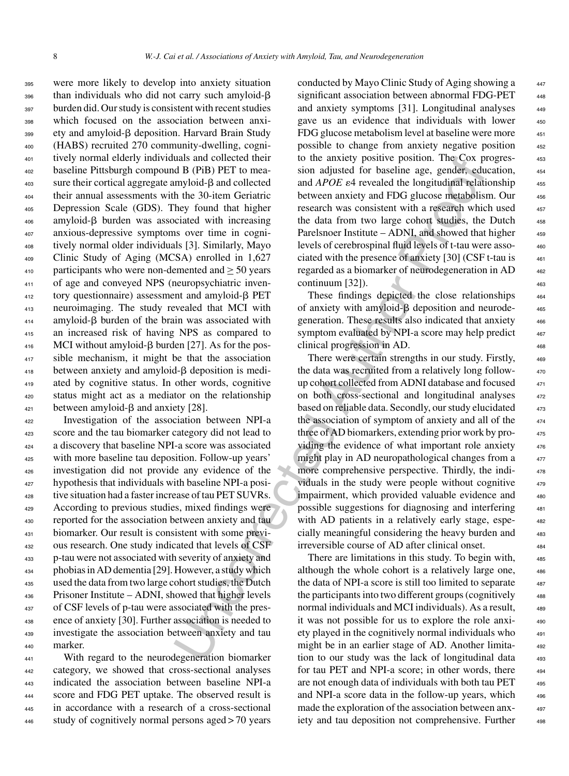were more likely to develop into anxiety situation 396 than individuals who did not carry such amyloid- $\beta$  burden did. Our study is consistent with recent studies which focused on the association between anxi-399 ety and amyloid- $\beta$  deposition. Harvard Brain Study (HABS) recruited 270 community-dwelling, cogni- tively normal elderly individuals and collected their baseline Pittsburgh compound B (PiB) PET to mea- sure their cortical aggregate amyloid- $\beta$  and collected their annual assessments with the 30-item Geriatric Depression Scale (GDS). They found that higher amyloid- $\beta$  burden was associated with increasing anxious-depressive symptoms over time in cogni- tively normal older individuals [3]. Similarly, Mayo Clinic Study of Aging (MCSA) enrolled in 1,627 participants who were non-demented and  $>$  50 years of age and conveyed NPS (neuropsychiatric inven- tory questionnaire) assessment and amyloid- $\beta$  PET neuroimaging. The study revealed that MCI with amyloid- $\beta$  burden of the brain was associated with an increased risk of having NPS as compared to MCI without amyloid-β burden [27]. As for the pos- sible mechanism, it might be that the association between anxiety and amyloid- $\beta$  deposition is medi- ated by cognitive status. In other words, cognitive status might act as a mediator on the relationship between amyloid- $\beta$  and anxiety [28].

 Investigation of the association between NPI-a score and the tau biomarker category did not lead to a discovery that baseline NPI-a score was associated with more baseline tau deposition. Follow-up years' investigation did not provide any evidence of the hypothesis that individuals with baseline NPI-a posi- tive situation had a faster increase of tau PET SUVRs. According to previous studies, mixed findings were reported for the association between anxiety and tau biomarker. Our result is consistent with some previ- ous research. One study indicated that levels of CSF p-tau were not associated with severity of anxiety and phobias in AD dementia [29]. However, a study which used the data from two large cohort studies, the Dutch Prisoner Institute – ADNI, showed that higher levels of CSF levels of p-tau were associated with the pres- ence of anxiety [30]. Further association is needed to investigate the association between anxiety and tau marker.

 With regard to the neurodegeneration biomarker category, we showed that cross-sectional analyses indicated the association between baseline NPI-a score and FDG PET uptake. The observed result is in accordance with a research of a cross-sectional study of cognitively normal persons aged > 70 years

conducted by Mayo Clinic Study of Aging showing a significant association between abnormal FDG-PET 448 and anxiety symptoms [31]. Longitudinal analyses gave us an evidence that individuals with lower 450 FDG glucose metabolism level at baseline were more possible to change from anxiety negative position <sup>452</sup> to the anxiety positive position. The Cox progres- <sup>453</sup> sion adjusted for baseline age, gender, education, and *APOE*  $\varepsilon$ 4 revealed the longitudinal relationship  $455$ between anxiety and FDG glucose metabolism. Our 456 research was consistent with a research which used the data from two large cohort studies, the Dutch 458 Parelsnoer Institute – ADNI, and showed that higher levels of cerebrospinal fluid levels of t-tau were asso- <sup>460</sup> ciated with the presence of anxiety  $[30]$  (CSF t-tau is  $461$ regarded as a biomarker of neurodegeneration in AD <sup>462</sup>  $\text{continuum } [32]$ ).  $\tag{463}$ 

These findings depicted the close relationships 464 of anxiety with amyloid- $\beta$  deposition and neurode-  $465$ generation. These results also indicated that anxiety <sup>466</sup> symptom evaluated by NPI-a score may help predict clinical progression in AD.

uas and collected their<br>
to the anxiety positive position. The Cox particular in the Control in the SO-Fier to mean<br>
mylorid-B (PiB) PET to mean-<br>
and al-POE al-tered and al-POE al-tered and al-POE al-tered and al-POE al-There were certain strengths in our study. Firstly, 469 the data was recruited from a relatively long followup cohort collected from ADNI database and focused on both cross-sectional and longitudinal analyses 472 based on reliable data. Secondly, our study elucidated the association of symptom of anxiety and all of the three of AD biomarkers, extending prior work by providing the evidence of what important role anxiety might play in AD neuropathological changes from a more comprehensive perspective. Thirdly, the individuals in the study were people without cognitive impairment, which provided valuable evidence and 480 possible suggestions for diagnosing and interfering <sup>481</sup> with AD patients in a relatively early stage, espe-<br>482 cially meaningful considering the heavy burden and 483 irreversible course of AD after clinical onset. <sup>484</sup>

There are limitations in this study. To begin with, although the whole cohort is a relatively large one, the data of NPI-a score is still too limited to separate the participants into two different groups (cognitively normal individuals and MCI individuals). As a result, it was not possible for us to explore the role anxiety played in the cognitively normal individuals who <sup>491</sup> might be in an earlier stage of AD. Another limitation to our study was the lack of longitudinal data 493 for tau PET and NPI-a score; in other words, there 494 are not enough data of individuals with both tau PET  $_{495}$ and NPI-a score data in the follow-up years, which made the exploration of the association between anxiety and tau deposition not comprehensive. Further 498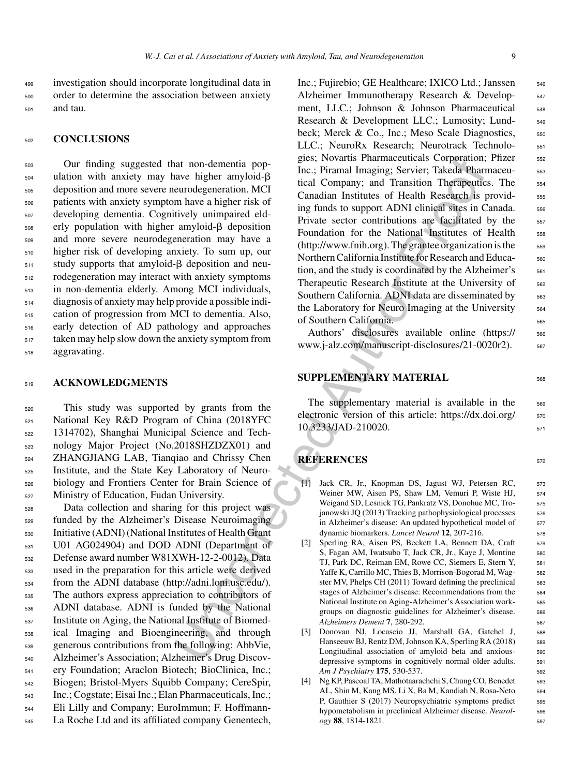<sup>499</sup> investigation should incorporate longitudinal data in <sup>500</sup> order to determine the association between anxiety <sup>501</sup> and tau.

#### <sup>502</sup> **CONCLUSIONS**

 Our finding suggested that non-dementia pop- $_{504}$  ulation with anxiety may have higher amyloid- $\beta$  deposition and more severe neurodegeneration. MCI patients with anxiety symptom have a higher risk of developing dementia. Cognitively unimpaired eld- erly population with higher amyloid- $\beta$  deposition and more severe neurodegeneration may have a higher risk of developing anxiety. To sum up, our  $_{511}$  study supports that amyloid- $\beta$  deposition and neu- rodegeneration may interact with anxiety symptoms in non-dementia elderly. Among MCI individuals, diagnosis of anxiety may help provide a possible indi- cation of progression from MCI to dementia. Also, early detection of AD pathology and approaches taken may help slow down the anxiety symptom from aggravating.

#### <sup>519</sup> **ACKNOWLEDGMENTS**

 This study was supported by grants from the National Key R&D Program of China (2018YFC 1314702), Shanghai Municipal Science and Tech- nology Major Project (No.2018SHZDZX01) and ZHANGJIANG LAB, Tianqiao and Chrissy Chen Institute, and the State Key Laboratory of Neuro- biology and Frontiers Center for Brain Science of Ministry of Education, Fudan University.

 Data collection and sharing for this project was funded by the Alzheimer's Disease Neuroimaging Initiative (ADNI) (National Institutes of Health Grant U01 AG024904) and DOD ADNI (Department of Defense award number W81XWH-12-2-0012). Data used in the preparation for this article were derived from the ADNI database [\(http://adni.loni.usc.edu/\)](http://adni.loni.usc.edu/). The authors express appreciation to contributors of ADNI database. ADNI is funded by the National Institute on Aging, the National Institute of Biomed- ical Imaging and Bioengineering, and through generous contributions from the following: AbbVie, Alzheimer's Association; Alzheimer's Drug Discov- ery Foundation; Araclon Biotech; BioClinica, Inc.; Biogen; Bristol-Myers Squibb Company; CereSpir, Inc.; Cogstate; Eisai Inc.; Elan Pharmaceuticals, Inc.; Eli Lilly and Company; EuroImmun; F. Hoffmann-La Roche Ltd and its affiliated company Genentech,

at non-dementia pop-<br>
gies: Novaritis Pharmaceutonsa Corporation<br>
inc.; Piramal Imaging; Servier; Takeda Pharmaceutonsa Corporation<br>
and Corporation Ferometical Corporation (Figure 2)<br>
inclusions are alternative score con Inc.; Fujirebio; GE Healthcare; IXICO Ltd.; Janssen 546 Alzheimer Immunotherapy Research & Develop- 547 ment, LLC.; Johnson & Johnson Pharmaceutical 548 Research & Development LLC.; Lumosity; Lund-<br>549 beck; Merck & Co., Inc.; Meso Scale Diagnostics,  $\frac{550}{250}$ LLC.; NeuroRx Research; Neurotrack Technolo- 551 gies; Novartis Pharmaceuticals Corporation; Pfizer 552 Inc.; Piramal Imaging; Servier; Takeda Pharmaceutical Company; and Transition Therapeutics. The 554 Canadian Institutes of Health Research is providing funds to support ADNI clinical sites in Canada. 556 Private sector contributions are facilitated by the 557 Foundation for the National Institutes of Health 558  $(\text{http://www.fnih.org})$ . The grantee organization is the  $\frac{559}{259}$ Northern California Institute for Research and Educa- 560 tion, and the study is coordinated by the Alzheimer's  $561$ Therapeutic Research Institute at the University of 562 Southern California. ADNI data are disseminated by 563 the Laboratory for Neuro Imaging at the University  $\frac{564}{564}$ of Southern California. 565

Authors' disclosures available online [\(https://](https://www.j-alz.com/manuscript-disclosures/21-0020r2) 566 www.j-alz.com/manuscript-disclosures/21-0020r2).  $567$ 

# **SUPPLEMENTARY MATERIAL** 568

The supplementary material is available in the 569 electronic version of this article: [https://dx.doi.org/](https://dx.doi.org/10.3233/JAD-210020)  $570$ 10.3233/JAD-210020. 571

# **REFERENCES** <sup>572</sup>

- [1] Jack CR, Jr., Knopman DS, Jagust WJ, Petersen RC, 573 Weiner MW, Aisen PS, Shaw LM, Vemuri P, Wiste HJ, 574 Weigand SD, Lesnick TG, Pankratz VS, Donohue MC, Tro- 575 janowski JQ (2013) Tracking pathophysiological processes 576 in Alzheimer's disease: An updated hypothetical model of 577 dynamic biomarkers. *Lancet Neurol* **12**, 207-216. <sup>578</sup>
- [2] Sperling RA, Aisen PS, Beckett LA, Bennett DA, Craft 579 S, Fagan AM, Iwatsubo T, Jack CR, Jr., Kaye J, Montine 580 TJ, Park DC, Reiman EM, Rowe CC, Siemers E, Stern Y, 581 Yaffe K, Carrillo MC, Thies B, Morrison-Bogorad M, Wagster MV, Phelps CH (2011) Toward defining the preclinical 583 stages of Alzheimer's disease: Recommendations from the 584 National Institute on Aging-Alzheimer's Association work- <sup>585</sup> groups on diagnostic guidelines for Alzheimer's disease. 586 *Alzheimers Dement* **7**, 280-292. <sup>587</sup>
- [3] Donovan NJ, Locascio JJ, Marshall GA, Gatchel J, <sup>588</sup> Hanseeuw BJ, Rentz DM, Johnson KA, Sperling RA (2018) 589 Longitudinal association of amyloid beta and anxious-<br>
<sub>590</sub> depressive symptoms in cognitively normal older adults. 591 *Am J Psychiatry* **175**, 530-537. <sup>592</sup>
- [4] Ng KP, Pascoal TA, Mathotaarachchi S, Chung CO, Benedet 593 AL, Shin M, Kang MS, Li X, Ba M, Kandiah N, Rosa-Neto 594 P, Gauthier S (2017) Neuropsychiatric symptoms predict 595 hypometabolism in preclinical Alzheimer disease. *Neurol-* 596 *ogy* **88**, 1814-1821. <sup>597</sup>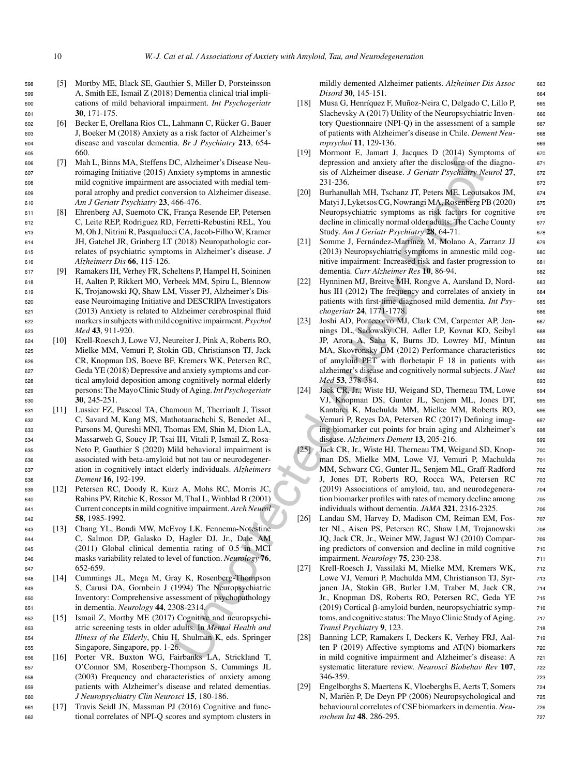- <sup>598</sup> [5] Mortby ME, Black SE, Gauthier S, Miller D, Porsteinsson <sup>599</sup> A, Smith EE, Ismail Z (2018) Dementia clinical trial impli-<sup>600</sup> cations of mild behavioral impairment. *Int Psychogeriatr* <sup>601</sup> **30**, 171-175.
- 602 [6] Becker E, Orellana Rios CL, Lahmann C, Rücker G, Bauer <sup>603</sup> J, Boeker M (2018) Anxiety as a risk factor of Alzheimer's <sup>604</sup> disease and vascular dementia. *Br J Psychiatry* **213**, 654- <sup>605</sup> 660.
- <sup>606</sup> [7] Mah L, Binns MA, Steffens DC, Alzheimer's Disease Neu-<sup>607</sup> roimaging Initiative (2015) Anxiety symptoms in amnestic <sup>608</sup> mild cognitive impairment are associated with medial tem-<sup>609</sup> poral atrophy and predict conversion to Alzheimer disease. <sup>610</sup> *Am J Geriatr Psychiatry* **23**, 466-476.
- 611 [8] Ehrenberg AJ, Suemoto CK, França Resende EP, Petersen <sup>612</sup> C, Leite REP, Rodriguez RD, Ferretti-Rebustini REL, You <sup>613</sup> M, Oh J, Nitrini R, Pasqualucci CA, Jacob-Filho W, Kramer <sup>614</sup> JH, Gatchel JR, Grinberg LT (2018) Neuropathologic cor-<sup>615</sup> relates of psychiatric symptoms in Alzheimer's disease. *J* <sup>616</sup> *Alzheimers Dis* **66**, 115-126.
- <sup>617</sup> [9] Ramakers IH, Verhey FR, Scheltens P, Hampel H, Soininen <sup>618</sup> H, Aalten P, Rikkert MO, Verbeek MM, Spiru L, Blennow <sup>619</sup> K, Trojanowski JQ, Shaw LM, Visser PJ, Alzheimer's Dis-<sup>620</sup> ease Neuroimaging Initiative and DESCRIPA Investigators <sup>621</sup> (2013) Anxiety is related to Alzheimer cerebrospinal fluid <sup>622</sup> markers in subjects with mild cognitive impairment.*Psychol* <sup>623</sup> *Med* **43**, 911-920.
- <sup>624</sup> [10] Krell-Roesch J, Lowe VJ, Neureiter J, Pink A, Roberts RO, <sup>625</sup> Mielke MM, Vemuri P, Stokin GB, Christianson TJ, Jack <sup>626</sup> CR, Knopman DS, Boeve BF, Kremers WK, Petersen RC, <sup>627</sup> Geda YE (2018) Depressive and anxiety symptoms and cor-<sup>628</sup> tical amyloid deposition among cognitively normal elderly <sup>629</sup> persons: The Mayo Clinic Study of Aging.*Int Psychogeriatr* <sup>630</sup> **30**, 245-251.
- <sup>631</sup> [11] Lussier FZ, Pascoal TA, Chamoun M, Therriault J, Tissot <sup>632</sup> C, Savard M, Kang MS, Mathotaarachchi S, Benedet AL, <sup>633</sup> Parsons M, Qureshi MNI, Thomas EM, Shin M, Dion LA, <sup>634</sup> Massarweh G, Soucy JP, Tsai IH, Vitali P, Ismail Z, Rosa-<sup>635</sup> Neto P, Gauthier S (2020) Mild behavioral impairment is <sup>636</sup> associated with beta-amyloid but not tau or neurodegener-<sup>637</sup> ation in cognitively intact elderly individuals. *Alzheimers* <sup>638</sup> *Dement* **16**, 192-199.
- <sup>639</sup> [12] Petersen RC, Doody R, Kurz A, Mohs RC, Morris JC, <sup>640</sup> Rabins PV, Ritchie K, Rossor M, Thal L, Winblad B (2001) <sup>641</sup> Current concepts in mild cognitive impairment. *Arch Neurol* <sup>642</sup> **58**, 1985-1992.
- <sup>643</sup> [13] Chang YL, Bondi MW, McEvoy LK, Fennema-Notestine <sup>644</sup> C, Salmon DP, Galasko D, Hagler DJ, Jr., Dale AM <sup>645</sup> (2011) Global clinical dementia rating of 0.5 in MCI <sup>646</sup> masks variability related to level of function. *Neurology* **76**, <sup>647</sup> 652-659.
- <sup>648</sup> [14] Cummings JL, Mega M, Gray K, Rosenberg-Thompson <sup>649</sup> S, Carusi DA, Gornbein J (1994) The Neuropsychiatric <sup>650</sup> Inventory: Comprehensive assessment of psychopathology <sup>651</sup> in dementia. *Neurology* **44**, 2308-2314.
- <sup>652</sup> [15] Ismail Z, Mortby ME (2017) Cognitive and neuropsychi-<sup>653</sup> atric screening tests in older adults. In *Mental Health and* <sup>654</sup> *Illness of the Elderly*, Chiu H, Shulman K, eds. Springer <sup>655</sup> Singapore, Singapore, pp. 1-26.
- <sup>656</sup> [16] Porter VR, Buxton WG, Fairbanks LA, Strickland T, <sup>657</sup> O'Connor SM, Rosenberg-Thompson S, Cummings JL <sup>658</sup> (2003) Frequency and characteristics of anxiety among <sup>659</sup> patients with Alzheimer's disease and related dementias. <sup>660</sup> *J Neuropsychiatry Clin Neurosci* **15**, 180-186.
- <sup>661</sup> [17] Travis Seidl JN, Massman PJ (2016) Cognitive and func-<sup>662</sup> tional correlates of NPI-Q scores and symptom clusters in

mildly demented Alzheimer patients. *Alzheimer Dis Assoc* 663 *Disord* **30**, 145-151. <sup>664</sup>

- [18] Musa G, Henríquez F, Muñoz-Neira C, Delgado C, Lillo P, 665 Slachevsky A (2017) Utility of the Neuropsychiatric Inven- 666 tory Questionnaire (NPI-Q) in the assessment of a sample  $667$ of patients with Alzheimer's disease in Chile. *Dement Neu-* <sup>668</sup> *ropsychol* 11, 129-136. 669
- [19] Mormont E, Jamart J, Jacques D (2014) Symptoms of 670 depression and anxiety after the disclosure of the diagno- <sup>671</sup> sis of Alzheimer disease. *J Geriatr Psychiatry Neurol* 27, 672 231-236. <sup>673</sup>
- [20] Burhanullah MH, Tschanz JT, Peters ME, Leoutsakos JM, <sup>674</sup> Matyi J, Lyketsos CG, Nowrangi MA, Rosenberg PB (2020) <sup>675</sup> Neuropsychiatric symptoms as risk factors for cognitive 676 decline in clinically normal older adults: The Cache County 677 Study. *Am J Geriatr Psychiatry* **28**, 64-71. <sup>678</sup>
- [21] Somme J, Fernández-Martínez M, Molano A, Zarranz JJ 679 (2013) Neuropsychiatric symptoms in amnestic mild cog- 680 nitive impairment: Increased risk and faster progression to 681 dementia. *Curr Alzheimer Res* **10**, 86-94. <sup>682</sup>
- [22] Hynninen MJ, Breitve MH, Rongve A, Aarsland D, Nord- 683 hus IH (2012) The frequency and correlates of anxiety in 684 patients with first-time diagnosed mild dementia. *Int Psy-* 685 *chogeriatr* **24**, 1771-1778. <sup>686</sup>
- [23] Joshi AD, Pontecorvo MJ, Clark CM, Carpenter AP, Jen- <sup>687</sup> nings DL, Sadowsky CH, Adler LP, Kovnat KD, Seibyl 688 JP, Arora A, Saha K, Burns JD, Lowrey MJ, Mintun 689 MA, Skovronsky DM (2012) Performance characteristics 690 of amyloid PET with florbetapir F 18 in patients with <sup>691</sup> alzheimer's disease and cognitively normal subjects. *J Nucl* <sup>692</sup> *Med* 53, 378-384. 693
- [24] Jack CR, Jr., Wiste HJ, Weigand SD, Therneau TM, Lowe 694 VJ, Knopman DS, Gunter JL, Senjem ML, Jones DT, <sup>695</sup> Kantarci K, Machulda MM, Mielke MM, Roberts RO, 696 Vemuri P, Reyes DA, Petersen RC (2017) Defining imag- <sup>697</sup> ing biomarker cut points for brain aging and Alzheimer's 698 disease. *Alzheimers Dement* **13**, 205-216. <sup>699</sup>
- [25] Jack CR, Jr., Wiste HJ, Therneau TM, Weigand SD, Knop- 700 man DS, Mielke MM, Lowe VJ, Vemuri P, Machulda 701 MM, Schwarz CG, Gunter JL, Senjem ML, Graff-Radford 702 J, Jones DT, Roberts RO, Rocca WA, Petersen RC 703 (2019) Associations of amyloid, tau, and neurodegenera- <sup>704</sup> tion biomarker profiles with rates of memory decline among  $\qquad 705$ individuals without dementia. *JAMA* **321**, 2316-2325. <sup>706</sup>
- [26] Landau SM, Harvey D, Madison CM, Reiman EM, Fos- <sup>707</sup> ter NL, Aisen PS, Petersen RC, Shaw LM, Trojanowski 708 JQ, Jack CR, Jr., Weiner MW, Jagust WJ (2010) Compar- <sup>709</sup> ing predictors of conversion and decline in mild cognitive  $\frac{710}{200}$ impairment. *Neurology* **75**, 230-238. <sup>711</sup>
- C, Athelmar's Disease Neu Contents<br>in the depression and ancient of the diseable and account and account and account of the state of the state of the state of the state of the state of the state of the state of the state [27] Krell-Roesch J, Vassilaki M, Mielke MM, Kremers WK, 712 Lowe VJ, Vemuri P, Machulda MM, Christianson TJ, Syr- 713 janen JA, Stokin GB, Butler LM, Traber M, Jack CR, 714 Jr., Knopman DS, Roberts RO, Petersen RC, Geda YE 715 (2019) Cortical β-amyloid burden, neuropsychiatric symp-<br>
716 toms, and cognitive status: The Mayo Clinic Study of Aging. 717 *Transl Psychiatry* **9**, 123. <sup>718</sup>
	- [28] Banning LCP, Ramakers I, Deckers K, Verhey FRJ, Aal- 719 ten P (2019) Affective symptoms and  $AT(N)$  biomarkers  $720$ in mild cognitive impairment and Alzheimer's disease: A 721 systematic literature review. *Neurosci Biobehav Rev* 107, 722 346-359. <sup>723</sup>
	- [29] Engelborghs S, Maertens K, Vloeberghs E, Aerts T, Somers 724 N, Mariën P, De Deyn PP (2006) Neuropsychological and  $\frac{725}{6}$ behavioural correlates of CSF biomarkers in dementia. *Neu-* <sup>726</sup> *rochem Int* **48**, 286-295. 727